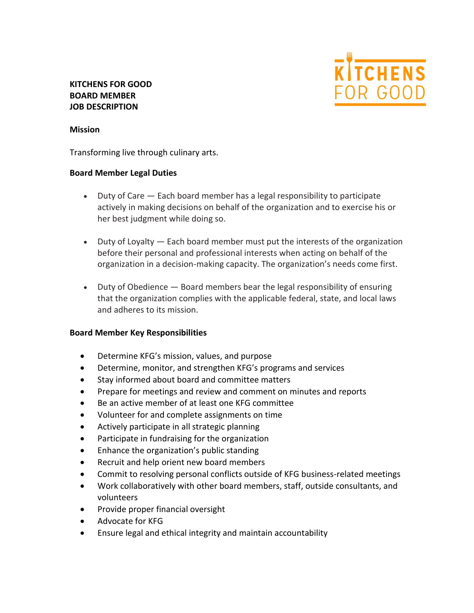

# **KITCHENS FOR GOOD BOARD MEMBER JOB DESCRIPTION**

#### **Mission**

Transforming live through culinary arts.

#### **Board Member Legal Duties**

- Duty of Care Each board member has a legal responsibility to participate actively in making decisions on behalf of the organization and to exercise his or her best judgment while doing so.
- Duty of Loyalty Each board member must put the interests of the organization before their personal and professional interests when acting on behalf of the organization in a decision-making capacity. The organization's needs come first.
- Duty of Obedience Board members bear the legal responsibility of ensuring that the organization complies with the applicable federal, state, and local laws and adheres to its mission.

### **Board Member Key Responsibilities**

- Determine KFG's mission, values, and purpose
- Determine, monitor, and strengthen KFG's programs and services
- Stay informed about board and committee matters
- Prepare for meetings and review and comment on minutes and reports
- Be an active member of at least one KFG committee
- Volunteer for and complete assignments on time
- Actively participate in all strategic planning
- Participate in fundraising for the organization
- Enhance the organization's public standing
- Recruit and help orient new board members
- Commit to resolving personal conflicts outside of KFG business-related meetings
- Work collaboratively with other board members, staff, outside consultants, and volunteers
- Provide proper financial oversight
- Advocate for KFG
- Ensure legal and ethical integrity and maintain accountability